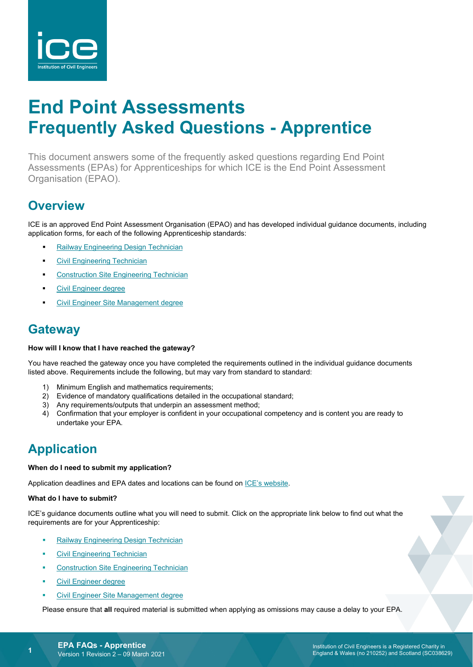

# **End Point Assessments Frequently Asked Questions - Apprentice**

This document answers some of the frequently asked questions regarding End Point Assessments (EPAs) for Apprenticeships for which ICE is the End Point Assessment Organisation (EPAO).

## <span id="page-0-0"></span>**Overview**

ICE is an approved End Point Assessment Organisation (EPAO) and has developed individual guidance documents, including application forms, for each of the following Apprenticeship standards:

- [Railway Engineering Design Technician](https://www.ice.org.uk/my-ice/membership-documents/end-point-assessment-railway-design-technician-app)
- [Civil Engineering Technician](https://www.ice.org.uk/my-ice/membership-documents/civil-engineering-technician-apprenticeship-end-po)
- [Construction Site Engineering Technician](https://www.ice.org.uk/my-ice/membership-documents/construction-site-engineering-technician-apprentic)
- [Civil Engineer degree](https://www.ice.org.uk/my-ice/membership-documents/civil-engineer-degree-apprenticeship-end-point-ass)
- [Civil Engineer Site Management degree](https://www.ice.org.uk/my-ice/membership-documents/site-manager-degree-apprenticeship-end-point-asses)

## **Gateway**

### **How will I know that I have reached the gateway?**

You have reached the gateway once you have completed the requirements outlined in the individual guidance documents listed above. Requirements include the following, but may vary from standard to standard:

- 1) Minimum English and mathematics requirements;
- 2) Evidence of mandatory qualifications detailed in the occupational standard;
- 3) Any requirements/outputs that underpin an assessment method;
- 4) Confirmation that your employer is confident in your occupational competency and is content you are ready to undertake your EPA.

## **Application**

### **When do I need to submit my application?**

Application deadlines and EPA dates and locations can be found on [ICE's website.](https://www.ice.org.uk/my-ice/membership-documents/key-membership-dates#Endpointassessments)

### **What do I have to submit?**

ICE's guidance documents outline what you will need to submit. Click on the appropriate link below to find out what the requirements are for your Apprenticeship:

- [Railway Engineering Design Technician](https://www.ice.org.uk/my-ice/membership-documents/end-point-assessment-railway-design-technician-app)
- [Civil Engineering Technician](https://www.ice.org.uk/my-ice/membership-documents/civil-engineering-technician-apprenticeship-end-po)
- [Construction Site Engineering Technician](https://www.ice.org.uk/my-ice/membership-documents/construction-site-engineering-technician-apprentic)
- [Civil Engineer degree](https://www.ice.org.uk/my-ice/membership-documents/civil-engineer-degree-apprenticeship-end-point-ass)
- [Civil Engineer Site Management degree](https://www.ice.org.uk/my-ice/membership-documents/site-manager-degree-apprenticeship-end-point-asses)

Please ensure that **all** required material is submitted when applying as omissions may cause a delay to your EPA.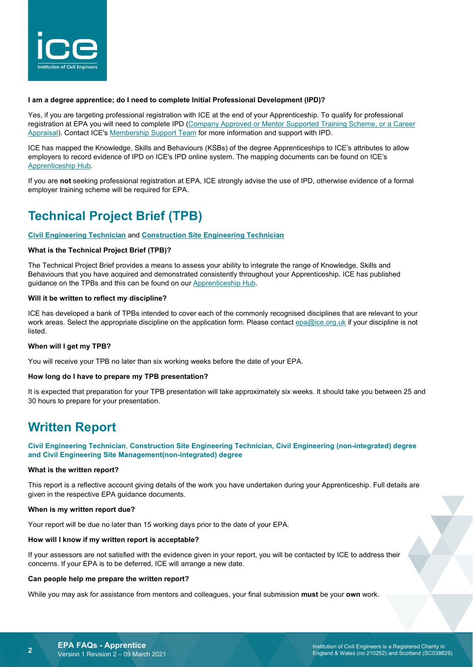

### **I am a degree apprentice; do I need to complete Initial Professional Development (IPD)?**

Yes, if you are targeting professional registration with ICE at the end of your Apprenticeship. To qualify for professional registration at EPA you will need to complete IPD [\(Company Approved or Mentor Supported Training Scheme, or a Career](https://www.ice.org.uk/careers-and-training/graduate-civil-engineers/how-to-become-professionally-qualified#work-experience)  [Appraisal\)](https://www.ice.org.uk/careers-and-training/graduate-civil-engineers/how-to-become-professionally-qualified#work-experience). Contact ICE's [Membership Support Team](mailto:membershipsupport@ice.org.uk) for more information and support with IPD.

ICE has mapped the Knowledge, Skills and Behaviours (KSBs) of the degree Apprenticeships to ICE's attributes to allow employers to record evidence of IPD on ICE's IPD online system. The mapping documents can be found on ICE's [Apprenticeship](https://www.ice.org.uk/careers-and-training/apprenticeships/apprentices#england) Hub.

If you are **not** seeking professional registration at EPA, ICE strongly advise the use of IPD, otherwise evidence of a formal employer training scheme will be required for EPA.

## **Technical Project Brief (TPB)**

### **[Civil Engineering](https://www.ice.org.uk/my-ice/membership-documents/civil-engineering-technician-apprenticeship-end-po) Technician** and **[Construction Site Engineering](https://www.ice.org.uk/my-ice/membership-documents/construction-site-engineering-technician-apprentic) Technician**

### **What is the Technical Project Brief (TPB)?**

The Technical Project Brief provides a means to assess your ability to integrate the range of Knowledge, Skills and Behaviours that you have acquired and demonstrated consistently throughout your Apprenticeship. ICE has published guidance on the TPBs and this can be found on our [Apprenticeship](https://www.ice.org.uk/careers-and-training/apprenticeships/apprentices#england) Hub.

### **Will it be written to reflect my discipline?**

ICE has developed a bank of TPBs intended to cover each of the commonly recognised disciplines that are relevant to your work areas. Select the appropriate discipline on the application form. Please contact [epa@ice.org.uk](mailto:epa@ice.org.uk) if your discipline is not listed.

### **When will I get my TPB?**

You will receive your TPB no later than six working weeks before the date of your EPA.

### **How long do I have to prepare my TPB presentation?**

It is expected that preparation for your TPB presentation will take approximately six weeks. It should take you between 25 and 30 hours to prepare for your presentation.

## **Written Report**

**Civil Engineering Technician**, **Construction Site Engineering Technician, Civil Engineering (non-integrated) degree and Civil Engineering Site Management(non-integrated) degree** 

### **What is the written report?**

This report is a reflective account giving details of the work you have undertaken during your Apprenticeship. Full details are given in the respective EPA guidance documents.

### **When is my written report due?**

Your report will be due no later than 15 working days prior to the date of your EPA.

### **How will I know if my written report is acceptable?**

If your assessors are not satisfied with the evidence given in your report, you will be contacted by ICE to address their concerns. If your EPA is to be deferred, ICE will arrange a new date.

### **Can people help me prepare the written report?**

While you may ask for assistance from mentors and colleagues, your final submission **must** be your **own** work.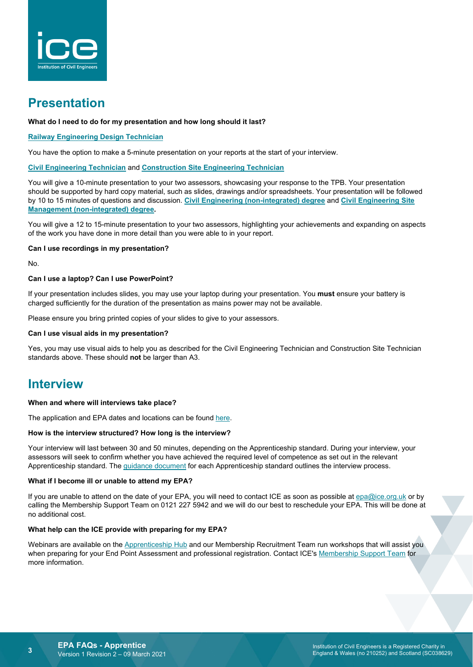

## **Presentation**

### **What do I need to do for my presentation and how long should it last?**

### **[Railway Engineering Design Technician](https://www.ice.org.uk/getattachment/my-ice/membership-documents/end-point-assessment-railway-design-technician-app/epa-railway-engineering-design-technician-apprenticeship-EPA-guidance-and-application.pdf.aspx)**

You have the option to make a 5-minute presentation on your reports at the start of your interview.

### **[Civil Engineering](https://www.ice.org.uk/my-ice/membership-documents/civil-engineering-technician-apprenticeship-end-po) Technician** and **[Construction Site Engineering](https://www.ice.org.uk/my-ice/membership-documents/construction-site-engineering-technician-apprentic) Technician**

You will give a 10-minute presentation to your two assessors, showcasing your response to the TPB. Your presentation should be supported by hard copy material, such as slides, drawings and/or spreadsheets. Your presentation will be followed by 10 to 15 minutes of questions and discussion. **[Civil Engineering \(non-integrated\) degree](https://www.ice.org.uk/my-ice/membership-documents/civil-engineer-degree-apprenticeship-end-point-ass)** and **[Civil Engineering Site](https://www.ice.org.uk/my-ice/membership-documents/site-manager-degree-apprenticeship-end-point-asses)  [Management](https://www.ice.org.uk/my-ice/membership-documents/site-manager-degree-apprenticeship-end-point-asses) (non-integrated) degree.** 

You will give a 12 to 15-minute presentation to your two assessors, highlighting your achievements and expanding on aspects of the work you have done in more detail than you were able to in your report.

### **Can I use recordings in my presentation?**

No.

### **Can I use a laptop? Can I use PowerPoint?**

If your presentation includes slides, you may use your laptop during your presentation. You **must** ensure your battery is charged sufficiently for the duration of the presentation as mains power may not be available.

Please ensure you bring printed copies of your slides to give to your assessors.

### **Can I use visual aids in my presentation?**

Yes, you may use visual aids to help you as described for the Civil Engineering Technician and Construction Site Technician standards above. These should **not** be larger than A3.

### **Interview**

### **When and where will interviews take place?**

The application and EPA dates and locations can be foun[d here.](https://www.ice.org.uk/my-ice/membership-documents/key-membership-dates#Endpointassessments)

### **How is the interview structured? How long is the interview?**

Your interview will last between 30 and 50 minutes, depending on the Apprenticeship standard. During your interview, your assessors will seek to confirm whether you have achieved the required level of competence as set out in the relevant Apprenticeship standard. Th[e guidance document](#page-0-0) for each Apprenticeship standard outlines the interview process.

### **What if I become ill or unable to attend my EPA?**

If you are unable to attend on the date of your EPA, you will need to contact ICE as soon as possible at [epa@ice.org.uk](mailto:epa@ice.org.uk) or by calling the Membership Support Team on 0121 227 5942 and we will do our best to reschedule your EPA. This will be done at no additional cost.

### **What help can the ICE provide with preparing for my EPA?**

Webinars are available on the [Apprenticeship](https://www.ice.org.uk/careers-and-training/apprenticeships/apprentices#england) Hub and our Membership Recruitment Team run workshops that will assist you when preparing for your End Point Assessment and professional registration. Contact ICE's [Membership Support Team](mailto:membershipsupport@ice.org.uk) for more information.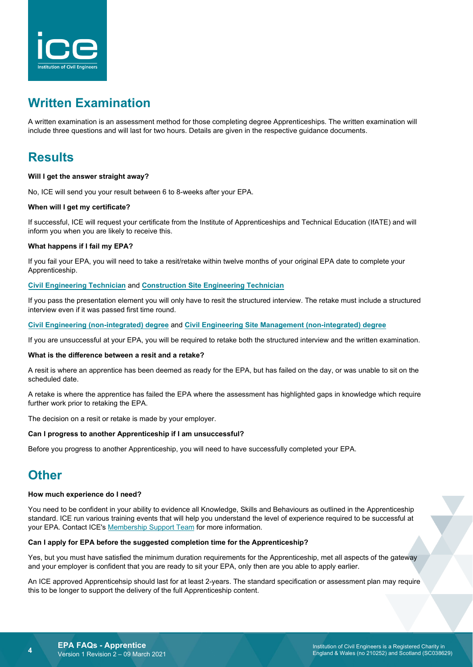

## **Written Examination**

A written examination is an assessment method for those completing degree Apprenticeships. The written examination will include three questions and will last for two hours. Details are given in the respective guidance documents.

## **Results**

### **Will I get the answer straight away?**

No, ICE will send you your result between 6 to 8-weeks after your EPA.

### **When will I get my certificate?**

If successful, ICE will request your certificate from the Institute of Apprenticeships and Technical Education (IfATE) and will inform you when you are likely to receive this.

### **What happens if I fail my EPA?**

If you fail your EPA, you will need to take a resit/retake within twelve months of your original EPA date to complete your Apprenticeship.

### **[Civil Engineering](https://www.ice.org.uk/my-ice/membership-documents/civil-engineering-technician-apprenticeship-end-po) Technician** and **[Construction Site Engineering](https://www.ice.org.uk/my-ice/membership-documents/construction-site-engineering-technician-apprentic) Technician**

If you pass the presentation element you will only have to resit the structured interview. The retake must include a structured interview even if it was passed first time round.

**[Civil Engineering](https://www.ice.org.uk/my-ice/membership-documents/civil-engineer-degree-apprenticeship-end-point-ass) (non-integrated) degree** and **[Civil Engineering Site Management](https://www.ice.org.uk/my-ice/membership-documents/site-manager-degree-apprenticeship-end-point-asses) (non-integrated) degree**

If you are unsuccessful at your EPA, you will be required to retake both the structured interview and the written examination.

### **What is the difference between a resit and a retake?**

A resit is where an apprentice has been deemed as ready for the EPA, but has failed on the day, or was unable to sit on the scheduled date.

A retake is where the apprentice has failed the EPA where the assessment has highlighted gaps in knowledge which require further work prior to retaking the EPA.

The decision on a resit or retake is made by your employer.

### **Can I progress to another Apprenticeship if I am unsuccessful?**

Before you progress to another Apprenticeship, you will need to have successfully completed your EPA.

## **Other**

### **How much experience do I need?**

You need to be confident in your ability to evidence all Knowledge, Skills and Behaviours as outlined in the Apprenticeship standard. ICE run various training events that will help you understand the level of experience required to be successful at your EPA. Contact ICE'[s Membership Support Team](mailto:membershipsupport@ice.org.uk) for more information.

### **Can I apply for EPA before the suggested completion time for the Apprenticeship?**

Yes, but you must have satisfied the minimum duration requirements for the Apprenticeship, met all aspects of the gateway and your employer is confident that you are ready to sit your EPA, only then are you able to apply earlier.

An ICE approved Apprenticehsip should last for at least 2-years. The standard specification or assessment plan may require this to be longer to support the delivery of the full Apprenticeship content.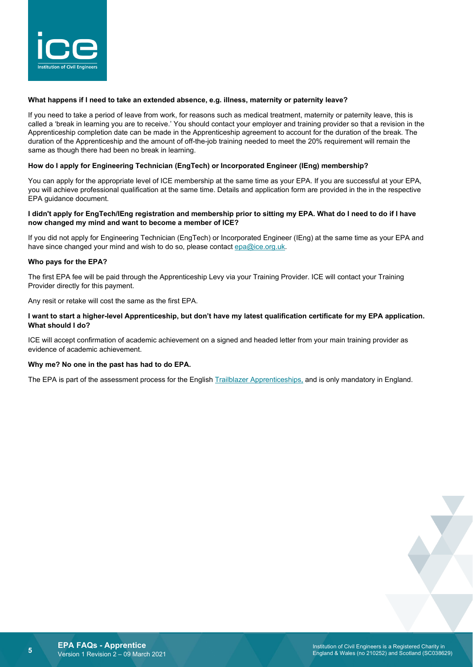

### **What happens if I need to take an extended absence, e.g. illness, maternity or paternity leave?**

If you need to take a period of leave from work, for reasons such as medical treatment, maternity or paternity leave, this is called a 'break in learning you are to receive.' You should contact your employer and training provider so that a revision in the Apprenticeship completion date can be made in the Apprenticeship agreement to account for the duration of the break. The duration of the Apprenticeship and the amount of off-the-job training needed to meet the 20% requirement will remain the same as though there had been no break in learning.

### **How do I apply for Engineering Technician (EngTech) or Incorporated Engineer (IEng) membership?**

You can apply for the appropriate level of ICE membership at the same time as your EPA. If you are successful at your EPA, you will achieve professional qualification at the same time. Details and application form are provided in the in the respective EPA guidance document.

### **I didn't apply for EngTech/IEng registration and membership prior to sitting my EPA. What do I need to do if I have now changed my mind and want to become a member of ICE?**

If you did not apply for Engineering Technician (EngTech) or Incorporated Engineer (IEng) at the same time as your EPA and have since changed your mind and wish to do so, please contac[t epa@ice.org.uk.](mailto:epa@ice.org.uk)

### **Who pays for the EPA?**

The first EPA fee will be paid through the Apprenticeship Levy via your Training Provider. ICE will contact your Training Provider directly for this payment.

Any resit or retake will cost the same as the first EPA.

### **I want to start a higher-level Apprenticeship, but don't have my latest qualification certificate for my EPA application. What should I do?**

ICE will accept confirmation of academic achievement on a signed and headed letter from your main training provider as evidence of academic achievement.

### **Why me? No one in the past has had to do EPA.**

The EPA is part of the assessment process for the Englis[h Trailblazer Apprenticeships,](https://www.ice.org.uk/membership/working-with-employers/employers-and-apprenticeships-in-england) and is only mandatory in England.